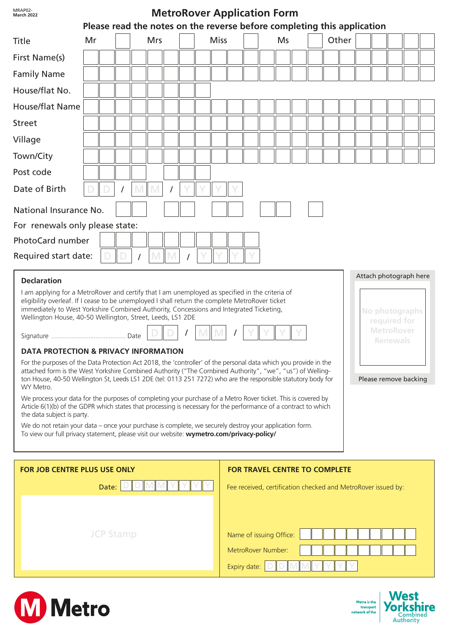| MRAP02-<br><b>MetroRover Application Form</b><br><b>March 2022</b><br>Please read the notes on the reverse before completing this application                                                                                                                                                                                                                                                                                                                                                                                                                                                                                                                                                                                                                                                                                                                                                                                                                                                                                                                                                                                                                                                                                                                                                                                                                                                         |    |  |  |     |  |  |  |  |             |                                                                                                       |    |  |  |       |  |  |  |  |  |  |  |  |  |
|-------------------------------------------------------------------------------------------------------------------------------------------------------------------------------------------------------------------------------------------------------------------------------------------------------------------------------------------------------------------------------------------------------------------------------------------------------------------------------------------------------------------------------------------------------------------------------------------------------------------------------------------------------------------------------------------------------------------------------------------------------------------------------------------------------------------------------------------------------------------------------------------------------------------------------------------------------------------------------------------------------------------------------------------------------------------------------------------------------------------------------------------------------------------------------------------------------------------------------------------------------------------------------------------------------------------------------------------------------------------------------------------------------|----|--|--|-----|--|--|--|--|-------------|-------------------------------------------------------------------------------------------------------|----|--|--|-------|--|--|--|--|--|--|--|--|--|
| Title                                                                                                                                                                                                                                                                                                                                                                                                                                                                                                                                                                                                                                                                                                                                                                                                                                                                                                                                                                                                                                                                                                                                                                                                                                                                                                                                                                                                 | Mr |  |  | Mrs |  |  |  |  | <b>Miss</b> |                                                                                                       | Ms |  |  | Other |  |  |  |  |  |  |  |  |  |
| First Name(s)                                                                                                                                                                                                                                                                                                                                                                                                                                                                                                                                                                                                                                                                                                                                                                                                                                                                                                                                                                                                                                                                                                                                                                                                                                                                                                                                                                                         |    |  |  |     |  |  |  |  |             |                                                                                                       |    |  |  |       |  |  |  |  |  |  |  |  |  |
| <b>Family Name</b>                                                                                                                                                                                                                                                                                                                                                                                                                                                                                                                                                                                                                                                                                                                                                                                                                                                                                                                                                                                                                                                                                                                                                                                                                                                                                                                                                                                    |    |  |  |     |  |  |  |  |             |                                                                                                       |    |  |  |       |  |  |  |  |  |  |  |  |  |
| House/flat No.                                                                                                                                                                                                                                                                                                                                                                                                                                                                                                                                                                                                                                                                                                                                                                                                                                                                                                                                                                                                                                                                                                                                                                                                                                                                                                                                                                                        |    |  |  |     |  |  |  |  |             |                                                                                                       |    |  |  |       |  |  |  |  |  |  |  |  |  |
| <b>House/flat Name</b>                                                                                                                                                                                                                                                                                                                                                                                                                                                                                                                                                                                                                                                                                                                                                                                                                                                                                                                                                                                                                                                                                                                                                                                                                                                                                                                                                                                |    |  |  |     |  |  |  |  |             |                                                                                                       |    |  |  |       |  |  |  |  |  |  |  |  |  |
| <b>Street</b>                                                                                                                                                                                                                                                                                                                                                                                                                                                                                                                                                                                                                                                                                                                                                                                                                                                                                                                                                                                                                                                                                                                                                                                                                                                                                                                                                                                         |    |  |  |     |  |  |  |  |             |                                                                                                       |    |  |  |       |  |  |  |  |  |  |  |  |  |
| Village                                                                                                                                                                                                                                                                                                                                                                                                                                                                                                                                                                                                                                                                                                                                                                                                                                                                                                                                                                                                                                                                                                                                                                                                                                                                                                                                                                                               |    |  |  |     |  |  |  |  |             |                                                                                                       |    |  |  |       |  |  |  |  |  |  |  |  |  |
| Town/City                                                                                                                                                                                                                                                                                                                                                                                                                                                                                                                                                                                                                                                                                                                                                                                                                                                                                                                                                                                                                                                                                                                                                                                                                                                                                                                                                                                             |    |  |  |     |  |  |  |  |             |                                                                                                       |    |  |  |       |  |  |  |  |  |  |  |  |  |
| Post code                                                                                                                                                                                                                                                                                                                                                                                                                                                                                                                                                                                                                                                                                                                                                                                                                                                                                                                                                                                                                                                                                                                                                                                                                                                                                                                                                                                             |    |  |  |     |  |  |  |  |             |                                                                                                       |    |  |  |       |  |  |  |  |  |  |  |  |  |
| Date of Birth                                                                                                                                                                                                                                                                                                                                                                                                                                                                                                                                                                                                                                                                                                                                                                                                                                                                                                                                                                                                                                                                                                                                                                                                                                                                                                                                                                                         |    |  |  |     |  |  |  |  |             |                                                                                                       |    |  |  |       |  |  |  |  |  |  |  |  |  |
| National Insurance No.                                                                                                                                                                                                                                                                                                                                                                                                                                                                                                                                                                                                                                                                                                                                                                                                                                                                                                                                                                                                                                                                                                                                                                                                                                                                                                                                                                                |    |  |  |     |  |  |  |  |             |                                                                                                       |    |  |  |       |  |  |  |  |  |  |  |  |  |
| For renewals only please state:                                                                                                                                                                                                                                                                                                                                                                                                                                                                                                                                                                                                                                                                                                                                                                                                                                                                                                                                                                                                                                                                                                                                                                                                                                                                                                                                                                       |    |  |  |     |  |  |  |  |             |                                                                                                       |    |  |  |       |  |  |  |  |  |  |  |  |  |
| PhotoCard number                                                                                                                                                                                                                                                                                                                                                                                                                                                                                                                                                                                                                                                                                                                                                                                                                                                                                                                                                                                                                                                                                                                                                                                                                                                                                                                                                                                      |    |  |  |     |  |  |  |  |             |                                                                                                       |    |  |  |       |  |  |  |  |  |  |  |  |  |
| Required start date:                                                                                                                                                                                                                                                                                                                                                                                                                                                                                                                                                                                                                                                                                                                                                                                                                                                                                                                                                                                                                                                                                                                                                                                                                                                                                                                                                                                  |    |  |  |     |  |  |  |  |             |                                                                                                       |    |  |  |       |  |  |  |  |  |  |  |  |  |
| Attach photograph here<br><b>Declaration</b><br>I am applying for a MetroRover and certify that I am unemployed as specified in the criteria of<br>eligibility overleaf. If I cease to be unemployed I shall return the complete MetroRover ticket<br>immediately to West Yorkshire Combined Authority, Concessions and Integrated Ticketing,<br>No photographs<br>Wellington House, 40-50 Wellington, Street, Leeds, LS1 2DE<br>required for<br><b>MetroRover</b><br>Renewals<br><b>DATA PROTECTION &amp; PRIVACY INFORMATION</b><br>For the purposes of the Data Protection Act 2018, the 'controller' of the personal data which you provide in the<br>attached form is the West Yorkshire Combined Authority ("The Combined Authority", "we", "us") of Welling-<br>ton House, 40-50 Wellington St, Leeds LS1 2DE (tel: 0113 251 7272) who are the responsible statutory body for<br>Please remove backing<br>WY Metro.<br>We process your data for the purposes of completing your purchase of a Metro Rover ticket. This is covered by<br>Article 6(1)(b) of the GDPR which states that processing is necessary for the performance of a contract to which<br>the data subject is party.<br>We do not retain your data - once your purchase is complete, we securely destroy your application form.<br>To view our full privacy statement, please visit our website: wymetro.com/privacy-policy/ |    |  |  |     |  |  |  |  |             |                                                                                                       |    |  |  |       |  |  |  |  |  |  |  |  |  |
| <b>FOR JOB CENTRE PLUS USE ONLY</b><br>Date:                                                                                                                                                                                                                                                                                                                                                                                                                                                                                                                                                                                                                                                                                                                                                                                                                                                                                                                                                                                                                                                                                                                                                                                                                                                                                                                                                          |    |  |  |     |  |  |  |  |             | <b>FOR TRAVEL CENTRE TO COMPLETE</b><br>Fee received, certification checked and MetroRover issued by: |    |  |  |       |  |  |  |  |  |  |  |  |  |
| <b>JCP Stamp</b>                                                                                                                                                                                                                                                                                                                                                                                                                                                                                                                                                                                                                                                                                                                                                                                                                                                                                                                                                                                                                                                                                                                                                                                                                                                                                                                                                                                      |    |  |  |     |  |  |  |  |             | Name of issuing Office:<br>MetroRover Number:<br>Expiry date:                                         |    |  |  |       |  |  |  |  |  |  |  |  |  |